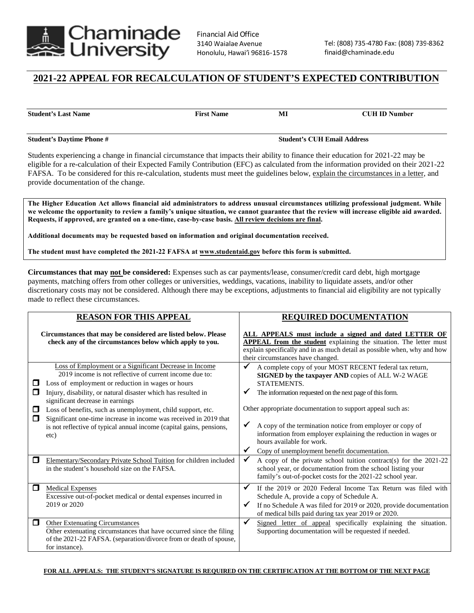

## **2021-22 APPEAL FOR RECALCULATION OF STUDENT'S EXPECTED CONTRIBUTION**

**Student's Last Name First Name MI CUH ID Number**

**Student's Daytime Phone # Student's CUH Email Address** 

Students experiencing a change in financial circumstance that impacts their ability to finance their education for 2021-22 may be eligible for a re-calculation of their Expected Family Contribution (EFC) as calculated from the information provided on their 2021-22 FAFSA. To be considered for this re-calculation, students must meet the guidelines below, explain the circumstances in a letter, and provide documentation of the change.

The Higher Education Act allows financial aid administrators to address unusual circumstances utilizing professional judgment. While **we welcome the opportunity to review a family's unique situation, we cannot guarantee that the review will increase eligible aid awarded. Requests, if approved, are granted on a one-time, case-by-case basis. All review decisions are final.** 

**Additional documents may be requested based on information and original documentation received.**

**The student must have completed the 2021-22 FAFSA at www.studentaid.gov before this form is submitted.** 

**Circumstances that may not be considered:** Expenses such as car payments/lease, consumer/credit card debt, high mortgage payments, matching offers from other colleges or universities, weddings, vacations, inability to liquidate assets, and/or other discretionary costs may not be considered. Although there may be exceptions, adjustments to financial aid eligibility are not typically made to reflect these circumstances.

| <b>REASON FOR THIS APPEAL</b>                                                                                             |                                                                                                                                                                                                                                                                                                                                                                                                                                                                                                 | <b>REQUIRED DOCUMENTATION</b>                                                                                                                                                                                                                      |                                                                                                                                                                                                                                                                                                                                                                                                                                                                  |
|---------------------------------------------------------------------------------------------------------------------------|-------------------------------------------------------------------------------------------------------------------------------------------------------------------------------------------------------------------------------------------------------------------------------------------------------------------------------------------------------------------------------------------------------------------------------------------------------------------------------------------------|----------------------------------------------------------------------------------------------------------------------------------------------------------------------------------------------------------------------------------------------------|------------------------------------------------------------------------------------------------------------------------------------------------------------------------------------------------------------------------------------------------------------------------------------------------------------------------------------------------------------------------------------------------------------------------------------------------------------------|
| Circumstances that may be considered are listed below. Please<br>check any of the circumstances below which apply to you. |                                                                                                                                                                                                                                                                                                                                                                                                                                                                                                 | ALL APPEALS must include a signed and dated LETTER OF<br><b>APPEAL</b> from the student explaining the situation. The letter must<br>explain specifically and in as much detail as possible when, why and how<br>their circumstances have changed. |                                                                                                                                                                                                                                                                                                                                                                                                                                                                  |
| $\Box$<br>$\Box$<br>◻<br>□                                                                                                | Loss of Employment or a Significant Decrease in Income<br>2019 income is not reflective of current income due to:<br>Loss of employment or reduction in wages or hours<br>Injury, disability, or natural disaster which has resulted in<br>significant decrease in earnings<br>Loss of benefits, such as unemployment, child support, etc.<br>Significant one-time increase in income was received in 2019 that<br>is not reflective of typical annual income (capital gains, pensions,<br>etc) | ✔<br>$\checkmark$<br>✔                                                                                                                                                                                                                             | A complete copy of your MOST RECENT federal tax return,<br>SIGNED by the taxpayer AND copies of ALL W-2 WAGE<br>STATEMENTS.<br>The information requested on the next page of this form.<br>Other appropriate documentation to support appeal such as:<br>A copy of the termination notice from employer or copy of<br>information from employer explaining the reduction in wages or<br>hours available for work.<br>Copy of unemployment benefit documentation. |
| □                                                                                                                         | Elementary/Secondary Private School Tuition for children included<br>in the student's household size on the FAFSA.                                                                                                                                                                                                                                                                                                                                                                              |                                                                                                                                                                                                                                                    | A copy of the private school tuition contract(s) for the $2021-22$<br>school year, or documentation from the school listing your<br>family's out-of-pocket costs for the 2021-22 school year.                                                                                                                                                                                                                                                                    |
| $\Box$                                                                                                                    | <b>Medical Expenses</b><br>Excessive out-of-pocket medical or dental expenses incurred in<br>2019 or 2020                                                                                                                                                                                                                                                                                                                                                                                       | √<br>✔                                                                                                                                                                                                                                             | If the 2019 or 2020 Federal Income Tax Return was filed with<br>Schedule A, provide a copy of Schedule A.<br>If no Schedule A was filed for 2019 or 2020, provide documentation<br>of medical bills paid during tax year 2019 or 2020.                                                                                                                                                                                                                           |
| □                                                                                                                         | <b>Other Extenuating Circumstances</b><br>Other extenuating circumstances that have occurred since the filing<br>of the 2021-22 FAFSA. (separation/divorce from or death of spouse,<br>for instance).                                                                                                                                                                                                                                                                                           | $\checkmark$                                                                                                                                                                                                                                       | Signed letter of appeal specifically explaining the situation.<br>Supporting documentation will be requested if needed.                                                                                                                                                                                                                                                                                                                                          |

**FOR ALL APPEALS: THE STUDENT'S SIGNATURE IS REQUIRED ON THE CERTIFICATION AT THE BOTTOM OF THE NEXT PAGE**